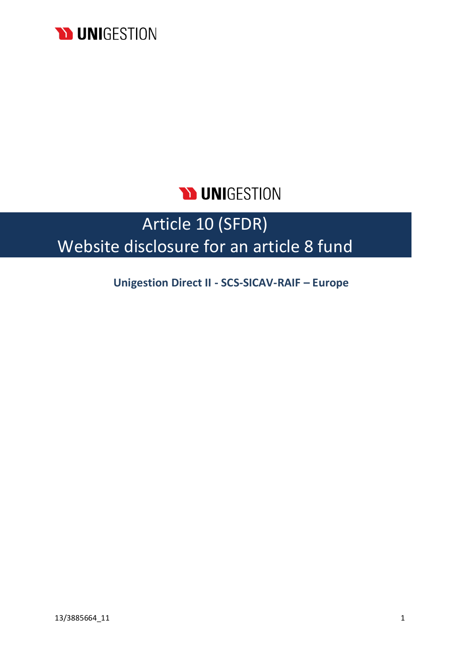

# **D UNIGESTION**

# Article 10 (SFDR) Website disclosure for an article 8 fund

**Unigestion Direct II - SCS-SICAV-RAIF – Europe**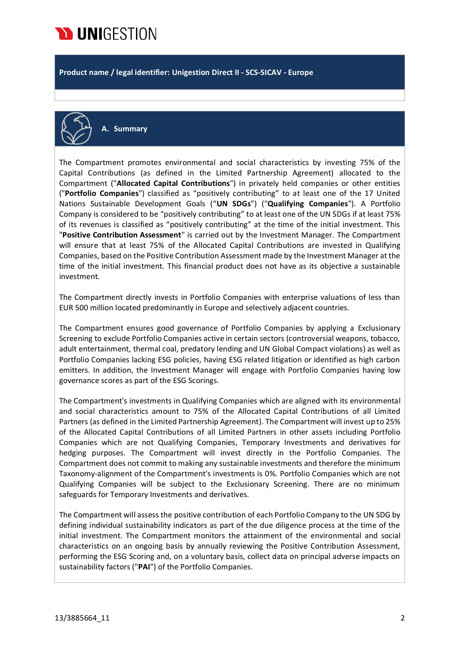

**Product name / legal identifier: Unigestion Direct II - SCS-SICAV - Europe**



**A. Summary**

The Compartment promotes environmental and social characteristics by investing 75% of the Capital Contributions (as defined in the Limited Partnership Agreement) allocated to the Compartment ("**Allocated Capital Contributions**") in privately held companies or other entities ("**Portfolio Companies**") classified as "positively contributing" to at least one of the 17 United Nations Sustainable Development Goals ("**UN SDGs**") ("**Qualifying Companies**"). A Portfolio Company is considered to be "positively contributing" to at least one of the UN SDGs if at least 75% of its revenues is classified as "positively contributing" at the time of the initial investment. This "**Positive Contribution Assessment**" is carried out by the Investment Manager. The Compartment will ensure that at least 75% of the Allocated Capital Contributions are invested in Qualifying Companies, based on the Positive Contribution Assessment made by the Investment Manager at the time of the initial investment. This financial product does not have as its objective a sustainable investment.

The Compartment directly invests in Portfolio Companies with enterprise valuations of less than EUR 500 million located predominantly in Europe and selectively adjacent countries.

The Compartment ensures good governance of Portfolio Companies by applying a Exclusionary Screening to exclude Portfolio Companies active in certain sectors (controversial weapons, tobacco, adult entertainment, thermal coal, predatory lending and UN Global Compact violations) as well as Portfolio Companies lacking ESG policies, having ESG related litigation or identified as high carbon emitters. In addition, the Investment Manager will engage with Portfolio Companies having low governance scores as part of the ESG Scorings.

The Compartment's investments in Qualifying Companies which are aligned with its environmental and social characteristics amount to 75% of the Allocated Capital Contributions of all Limited Partners (as defined in the Limited Partnership Agreement). The Compartment will invest up to 25% of the Allocated Capital Contributions of all Limited Partners in other assets including Portfolio Companies which are not Qualifying Companies, Temporary Investments and derivatives for hedging purposes. The Compartment will invest directly in the Portfolio Companies. The Compartment does not commit to making any sustainable investments and therefore the minimum Taxonomy-alignment of the Compartment's investments is 0%. Portfolio Companies which are not Qualifying Companies will be subject to the Exclusionary Screening. There are no minimum safeguards for Temporary Investments and derivatives.

The Compartment will assess the positive contribution of each Portfolio Company to the UN SDG by defining individual sustainability indicators as part of the due diligence process at the time of the initial investment. The Compartment monitors the attainment of the environmental and social characteristics on an ongoing basis by annually reviewing the Positive Contribution Assessment, performing the ESG Scoring and, on a voluntary basis, collect data on principal adverse impacts on sustainability factors ("**PAI**") of the Portfolio Companies.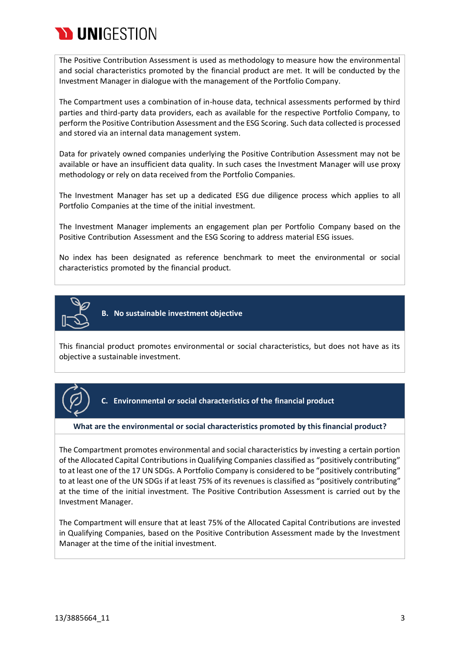

The Positive Contribution Assessment is used as methodology to measure how the environmental and social characteristics promoted by the financial product are met. It will be conducted by the Investment Manager in dialogue with the management of the Portfolio Company.

The Compartment uses a combination of in-house data, technical assessments performed by third parties and third-party data providers, each as available for the respective Portfolio Company, to perform the Positive Contribution Assessment and the ESG Scoring. Such data collected is processed and stored via an internal data management system.

Data for privately owned companies underlying the Positive Contribution Assessment may not be available or have an insufficient data quality. In such cases the Investment Manager will use proxy methodology or rely on data received from the Portfolio Companies.

The Investment Manager has set up a dedicated ESG due diligence process which applies to all Portfolio Companies at the time of the initial investment.

The Investment Manager implements an engagement plan per Portfolio Company based on the Positive Contribution Assessment and the ESG Scoring to address material ESG issues.

No index has been designated as reference benchmark to meet the environmental or social characteristics promoted by the financial product.



**B. No sustainable investment objective**

This financial product promotes environmental or social characteristics, but does not have as its objective a sustainable investment.



**C. Environmental or social characteristics of the financial product**

#### **What are the environmental or social characteristics promoted by this financial product?**

The Compartment promotes environmental and social characteristics by investing a certain portion of the Allocated Capital Contributions in Qualifying Companies classified as "positively contributing" to at least one of the 17 UN SDGs. A Portfolio Company is considered to be "positively contributing" to at least one of the UN SDGs if at least 75% of its revenues is classified as "positively contributing" at the time of the initial investment. The Positive Contribution Assessment is carried out by the Investment Manager.

The Compartment will ensure that at least 75% of the Allocated Capital Contributions are invested in Qualifying Companies, based on the Positive Contribution Assessment made by the Investment Manager at the time of the initial investment.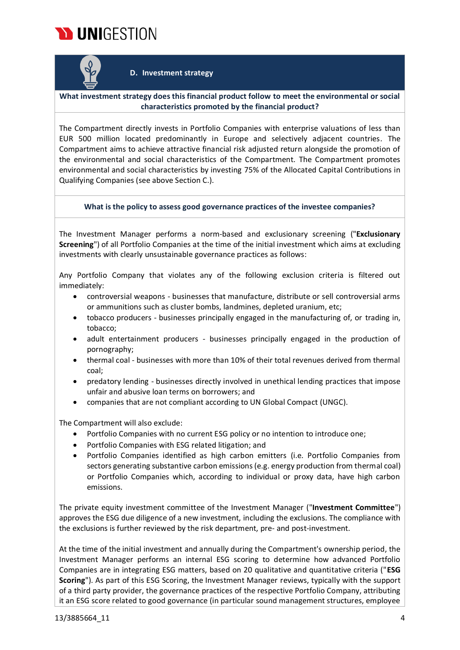



#### **D. Investment strategy**

**What investment strategy does this financial product follow to meet the environmental or social characteristics promoted by the financial product?**

The Compartment directly invests in Portfolio Companies with enterprise valuations of less than EUR 500 million located predominantly in Europe and selectively adjacent countries. The Compartment aims to achieve attractive financial risk adjusted return alongside the promotion of the environmental and social characteristics of the Compartment. The Compartment promotes environmental and social characteristics by investing 75% of the Allocated Capital Contributions in Qualifying Companies (see above Section C.).

#### **What is the policy to assess good governance practices of the investee companies?**

The Investment Manager performs a norm-based and exclusionary screening ("**Exclusionary Screening**") of all Portfolio Companies at the time of the initial investment which aims at excluding investments with clearly unsustainable governance practices as follows:

Any Portfolio Company that violates any of the following exclusion criteria is filtered out immediately:

- controversial weapons businesses that manufacture, distribute or sell controversial arms or ammunitions such as cluster bombs, landmines, depleted uranium, etc;
- tobacco producers businesses principally engaged in the manufacturing of, or trading in, tobacco;
- adult entertainment producers businesses principally engaged in the production of pornography;
- thermal coal businesses with more than 10% of their total revenues derived from thermal coal;
- predatory lending businesses directly involved in unethical lending practices that impose unfair and abusive loan terms on borrowers; and
- companies that are not compliant according to UN Global Compact (UNGC).

The Compartment will also exclude:

- Portfolio Companies with no current ESG policy or no intention to introduce one;
- Portfolio Companies with ESG related litigation; and
- Portfolio Companies identified as high carbon emitters (i.e. Portfolio Companies from sectors generating substantive carbon emissions (e.g. energy production from thermal coal) or Portfolio Companies which, according to individual or proxy data, have high carbon emissions.

The private equity investment committee of the Investment Manager ("**Investment Committee**") approves the ESG due diligence of a new investment, including the exclusions. The compliance with the exclusions is further reviewed by the risk department, pre- and post-investment.

At the time of the initial investment and annually during the Compartment's ownership period, the Investment Manager performs an internal ESG scoring to determine how advanced Portfolio Companies are in integrating ESG matters, based on 20 qualitative and quantitative criteria ("**ESG Scoring**"). As part of this ESG Scoring, the Investment Manager reviews, typically with the support of a third party provider, the governance practices of the respective Portfolio Company, attributing it an ESG score related to good governance (in particular sound management structures, employee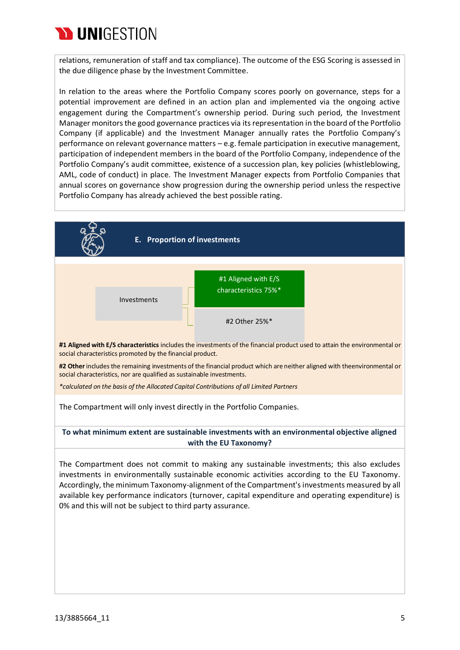

relations, remuneration of staff and tax compliance). The outcome of the ESG Scoring is assessed in the due diligence phase by the Investment Committee.

In relation to the areas where the Portfolio Company scores poorly on governance, steps for a potential improvement are defined in an action plan and implemented via the ongoing active engagement during the Compartment's ownership period. During such period, the Investment Manager monitorsthe good governance practices via itsrepresentation in the board of the Portfolio Company (if applicable) and the Investment Manager annually rates the Portfolio Company's performance on relevant governance matters – e.g. female participation in executive management, participation of independent members in the board of the Portfolio Company, independence of the Portfolio Company's audit committee, existence of a succession plan, key policies (whistleblowing, AML, code of conduct) in place. The Investment Manager expects from Portfolio Companies that annual scores on governance show progression during the ownership period unless the respective Portfolio Company has already achieved the best possible rating.

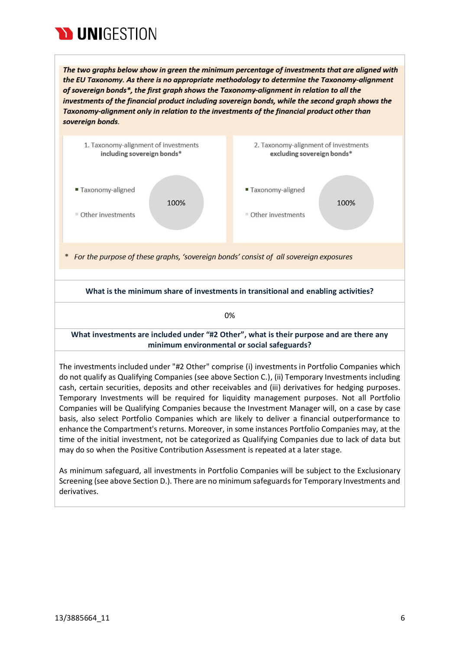

The two graphs below show in green the minimum percentage of investments that are aligned with the EU Taxonomy. As there is no appropriate methodology to determine the Taxonomy-alignment of sovereign bonds\*, the first graph shows the Taxonomy-alignment in relation to all the investments of the financial product including sovereign bonds, while the second graph shows the Taxonomy-alignment only in relation to the investments of the financial product other than sovereign bonds.



As minimum safeguard, all investments in Portfolio Companies will be subject to the Exclusionary Screening (see above Section D.). There are no minimum safeguards for Temporary Investments and derivatives.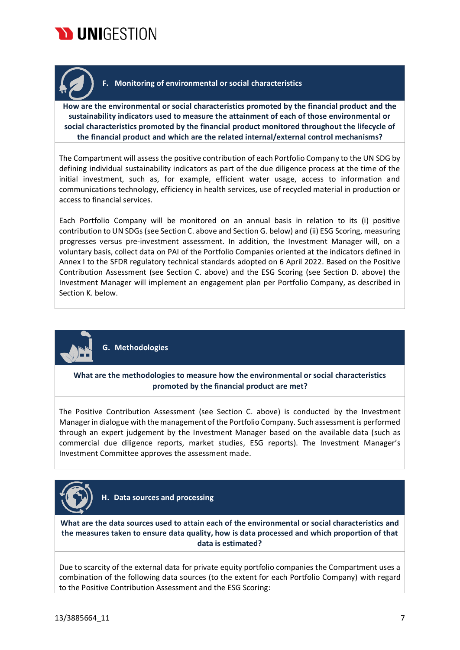



## **F. Monitoring of environmental or social characteristics**

**How are the environmental or social characteristics promoted by the financial product and the sustainability indicators used to measure the attainment of each of those environmental or social characteristics promoted by the financial product monitored throughout the lifecycle of the financial product and which are the related internal/external control mechanisms?**

The Compartment will assess the positive contribution of each Portfolio Company to the UN SDG by defining individual sustainability indicators as part of the due diligence process at the time of the initial investment, such as, for example, efficient water usage, access to information and communications technology, efficiency in health services, use of recycled material in production or access to financial services.

Each Portfolio Company will be monitored on an annual basis in relation to its (i) positive contribution to UN SDGs (see Section C. above and Section G. below) and (ii) ESG Scoring, measuring progresses versus pre-investment assessment. In addition, the Investment Manager will, on a voluntary basis, collect data on PAI of the Portfolio Companies oriented at the indicators defined in Annex I to the SFDR regulatory technical standards adopted on 6 April 2022. Based on the Positive Contribution Assessment (see Section C. above) and the ESG Scoring (see Section D. above) the Investment Manager will implement an engagement plan per Portfolio Company, as described in Section K. below.



**G. Methodologies**

**What are the methodologies to measure how the environmental or social characteristics promoted by the financial product are met?**

The Positive Contribution Assessment (see Section C. above) is conducted by the Investment Managerin dialogue with the management of the Portfolio Company. Such assessment is performed through an expert judgement by the Investment Manager based on the available data (such as commercial due diligence reports, market studies, ESG reports). The Investment Manager's Investment Committee approves the assessment made.



**H. Data sources and processing**

**What are the data sources used to attain each of the environmental or social characteristics and the measures taken to ensure data quality, how is data processed and which proportion of that data is estimated?**

Due to scarcity of the external data for private equity portfolio companies the Compartment uses a combination of the following data sources (to the extent for each Portfolio Company) with regard to the Positive Contribution Assessment and the ESG Scoring: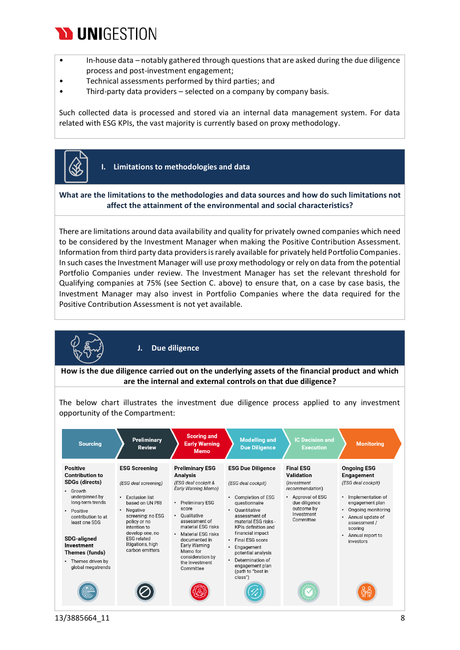## **WUNIGESTION**

- In-house data notably gathered through questions that are asked during the due diligence process and post-investment engagement;
- Technical assessments performed by third parties; and
- Third-party data providers selected on a company by company basis.

Such collected data is processed and stored via an internal data management system. For data related with ESG KPIs, the vast majority is currently based on proxy methodology.



**I. Limitations to methodologies and data**

### **What are the limitations to the methodologies and data sources and how do such limitations not affect the attainment of the environmental and social characteristics?**

There are limitations around data availability and quality for privately owned companies which need to be considered by the Investment Manager when making the Positive Contribution Assessment. Information from third party data providers is rarely available for privately held Portfolio Companies. In such cases the Investment Manager will use proxy methodology or rely on data from the potential Portfolio Companies under review. The Investment Manager has set the relevant threshold for Qualifying companies at 75% (see Section C. above) to ensure that, on a case by case basis, the Investment Manager may also invest in Portfolio Companies where the data required for the Positive Contribution Assessment is not yet available.



**J. Due diligence**

**How is the due diligence carried out on the underlying assets of the financial product and which are the internal and external controls on that due diligence?**

The below chart illustrates the investment due diligence process applied to any investment opportunity of the Compartment:

| <b>Sourcing</b>                                                                                                                                                                                                                                                                                  | <b>Preliminary</b><br><b>Review</b>                                                                                                                                                                                                                          | <b>Scoring and</b><br><b>Early Warning</b><br><b>Memo</b>                                                                                                                                                                                                                                             | <b>Modelling and</b><br><b>Due Diligence</b>                                                                                                                                                                                                                                                                                              | <b>IC Decision and</b><br><b>Execution</b>                                                                                                            | <b>Monitoring</b>                                                                                                                                                                                         |
|--------------------------------------------------------------------------------------------------------------------------------------------------------------------------------------------------------------------------------------------------------------------------------------------------|--------------------------------------------------------------------------------------------------------------------------------------------------------------------------------------------------------------------------------------------------------------|-------------------------------------------------------------------------------------------------------------------------------------------------------------------------------------------------------------------------------------------------------------------------------------------------------|-------------------------------------------------------------------------------------------------------------------------------------------------------------------------------------------------------------------------------------------------------------------------------------------------------------------------------------------|-------------------------------------------------------------------------------------------------------------------------------------------------------|-----------------------------------------------------------------------------------------------------------------------------------------------------------------------------------------------------------|
| <b>Positive</b><br><b>Contribution to</b><br><b>SDGs (directs)</b><br>• Growth<br>underpinned by<br>long-term trends<br>Positive<br>$\bullet$<br>contribution to at<br>least one SDG<br><b>SDG-aligned</b><br>Investment<br>Themes (funds)<br>Themes driven by<br>$\bullet$<br>global megatrends | <b>ESG Screening</b><br>(ESG deal screening)<br><b>Exclusion list</b><br>$\bullet$<br>based on UN PRI<br>Negative<br>٠<br>screening: no ESG<br>policy or no<br>intention to<br>develop one, no<br><b>ESG</b> related<br>litigations, high<br>carbon emitters | <b>Preliminary ESG</b><br>Analysis<br>(ESG deal cockpit &<br>Early Warning Memo)<br><b>Preliminary ESG</b><br>score<br>Oualitative<br>٠<br>assessment of<br>material ESG risks<br>Material ESG risks<br>documented in<br>Early Warning<br>Memo for<br>consideration by<br>the Investment<br>Committee | <b>ESG Due Diligence</b><br>(ESG deal cockpit)<br><b>Completion of ESG</b><br>questionnaire<br>Ouantitative<br>٠<br>assessment of<br>material ESG risks -<br>KPIs definition and<br>financial impact<br>• Final ESG score<br>Engagement<br>٠<br>potential analysis<br>Determination of<br>engagement plan<br>(path to "best in<br>class") | <b>Final ESG</b><br>Validation<br><i>(Investment)</i><br>recommendation)<br>Approval of ESG<br>due diligence<br>outcome by<br>Investment<br>Committee | <b>Ongoing ESG</b><br>Engagement<br>(ESG deal cockpit)<br>Implementation of<br>engagement plan<br>Ongoing monitoring<br>Annual update of<br>assessment /<br>scoring<br>Annual report to<br>٠<br>investors |
|                                                                                                                                                                                                                                                                                                  |                                                                                                                                                                                                                                                              |                                                                                                                                                                                                                                                                                                       |                                                                                                                                                                                                                                                                                                                                           |                                                                                                                                                       |                                                                                                                                                                                                           |